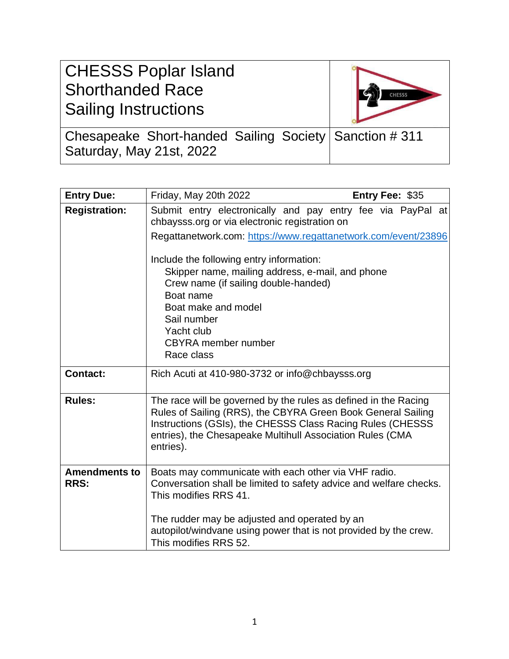| <b>CHESSS Poplar Island</b><br><b>Shorthanded Race</b><br><b>Sailing Instructions</b> | <b>CHESSS</b> |
|---------------------------------------------------------------------------------------|---------------|
| Chesapeake Short-handed Sailing Society   Sanction # 311<br>Saturday, May 21st, 2022  |               |

| <b>Entry Due:</b>                   | Friday, May 20th 2022<br>Entry Fee: \$35                                                                                                                                                                                                                                |
|-------------------------------------|-------------------------------------------------------------------------------------------------------------------------------------------------------------------------------------------------------------------------------------------------------------------------|
| <b>Registration:</b>                | Submit entry electronically and pay entry fee via PayPal at<br>chbaysss.org or via electronic registration on                                                                                                                                                           |
|                                     | Regattanetwork.com: https://www.regattanetwork.com/event/23896                                                                                                                                                                                                          |
|                                     | Include the following entry information:<br>Skipper name, mailing address, e-mail, and phone<br>Crew name (if sailing double-handed)<br>Boat name<br>Boat make and model<br>Sail number<br>Yacht club<br><b>CBYRA</b> member number<br>Race class                       |
| <b>Contact:</b>                     | Rich Acuti at 410-980-3732 or info@chbaysss.org                                                                                                                                                                                                                         |
| <b>Rules:</b>                       | The race will be governed by the rules as defined in the Racing<br>Rules of Sailing (RRS), the CBYRA Green Book General Sailing<br>Instructions (GSIs), the CHESSS Class Racing Rules (CHESSS<br>entries), the Chesapeake Multihull Association Rules (CMA<br>entries). |
| <b>Amendments to</b><br><b>RRS:</b> | Boats may communicate with each other via VHF radio.<br>Conversation shall be limited to safety advice and welfare checks.<br>This modifies RRS 41.<br>The rudder may be adjusted and operated by an                                                                    |
|                                     | autopilot/windvane using power that is not provided by the crew.<br>This modifies RRS 52.                                                                                                                                                                               |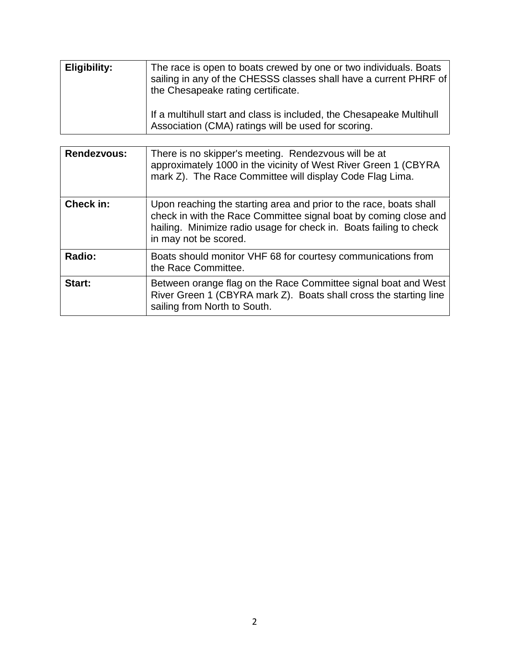| Eligibility: | The race is open to boats crewed by one or two individuals. Boats<br>sailing in any of the CHESSS classes shall have a current PHRF of<br>the Chesapeake rating certificate. |
|--------------|------------------------------------------------------------------------------------------------------------------------------------------------------------------------------|
|              | If a multihull start and class is included, the Chesapeake Multihull<br>Association (CMA) ratings will be used for scoring.                                                  |

| <b>Rendezvous:</b> | There is no skipper's meeting. Rendezvous will be at<br>approximately 1000 in the vicinity of West River Green 1 (CBYRA<br>mark Z). The Race Committee will display Code Flag Lima.                                                   |
|--------------------|---------------------------------------------------------------------------------------------------------------------------------------------------------------------------------------------------------------------------------------|
| Check in:          | Upon reaching the starting area and prior to the race, boats shall<br>check in with the Race Committee signal boat by coming close and<br>hailing. Minimize radio usage for check in. Boats failing to check<br>in may not be scored. |
| Radio:             | Boats should monitor VHF 68 for courtesy communications from<br>the Race Committee.                                                                                                                                                   |
| Start:             | Between orange flag on the Race Committee signal boat and West<br>River Green 1 (CBYRA mark Z). Boats shall cross the starting line<br>sailing from North to South.                                                                   |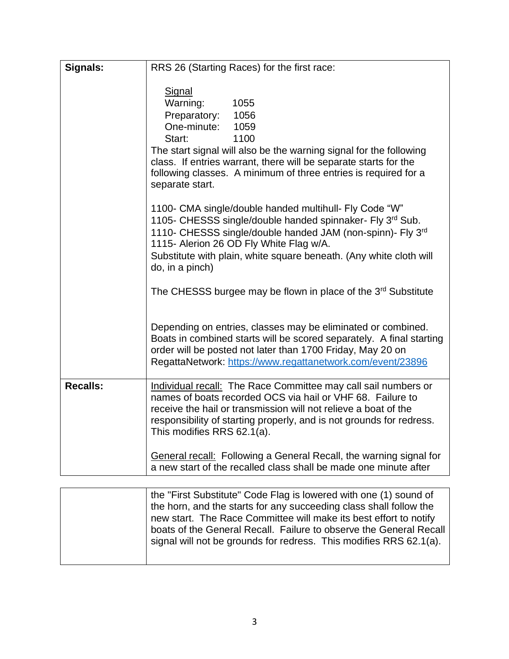| Signals:        | RRS 26 (Starting Races) for the first race:                                                                                                                                                                                                                                                                                 |
|-----------------|-----------------------------------------------------------------------------------------------------------------------------------------------------------------------------------------------------------------------------------------------------------------------------------------------------------------------------|
|                 | Signal<br>Warning:<br>1055<br>Preparatory:<br>1056<br>One-minute:<br>1059<br>Start:<br>1100<br>The start signal will also be the warning signal for the following<br>class. If entries warrant, there will be separate starts for the<br>following classes. A minimum of three entries is required for a<br>separate start. |
|                 | 1100- CMA single/double handed multihull- Fly Code "W"<br>1105- CHESSS single/double handed spinnaker- Fly 3rd Sub.<br>1110- CHESSS single/double handed JAM (non-spinn)- Fly 3rd<br>1115- Alerion 26 OD Fly White Flag w/A.<br>Substitute with plain, white square beneath. (Any white cloth will<br>do, in a pinch)       |
|                 | The CHESSS burgee may be flown in place of the 3 <sup>rd</sup> Substitute                                                                                                                                                                                                                                                   |
|                 | Depending on entries, classes may be eliminated or combined.<br>Boats in combined starts will be scored separately. A final starting<br>order will be posted not later than 1700 Friday, May 20 on<br>RegattaNetwork: https://www.regattanetwork.com/event/23896                                                            |
| <b>Recalls:</b> | Individual recall: The Race Committee may call sail numbers or<br>names of boats recorded OCS via hail or VHF 68. Failure to<br>receive the hail or transmission will not relieve a boat of the<br>responsibility of starting properly, and is not grounds for redress.<br>This modifies RRS 62.1(a).                       |
|                 | <b>General recall:</b> Following a General Recall, the warning signal for<br>a new start of the recalled class shall be made one minute after                                                                                                                                                                               |

| the "First Substitute" Code Flag is lowered with one (1) sound of  |
|--------------------------------------------------------------------|
| the horn, and the starts for any succeeding class shall follow the |
| new start. The Race Committee will make its best effort to notify  |
| boats of the General Recall. Failure to observe the General Recall |
| signal will not be grounds for redress. This modifies RRS 62.1(a). |
|                                                                    |
|                                                                    |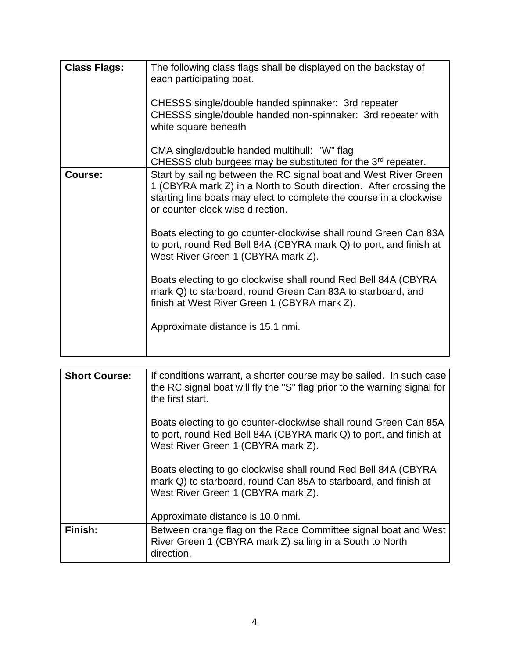| <b>Class Flags:</b> | The following class flags shall be displayed on the backstay of<br>each participating boat.<br>CHESSS single/double handed spinnaker: 3rd repeater<br>CHESSS single/double handed non-spinnaker: 3rd repeater with<br>white square beneath<br>CMA single/double handed multihull: "W" flag<br>CHESSS club burgees may be substituted for the 3 <sup>rd</sup> repeater.                                                                                                                                                                                                                                                                                 |
|---------------------|--------------------------------------------------------------------------------------------------------------------------------------------------------------------------------------------------------------------------------------------------------------------------------------------------------------------------------------------------------------------------------------------------------------------------------------------------------------------------------------------------------------------------------------------------------------------------------------------------------------------------------------------------------|
| Course:             | Start by sailing between the RC signal boat and West River Green<br>1 (CBYRA mark Z) in a North to South direction. After crossing the<br>starting line boats may elect to complete the course in a clockwise<br>or counter-clock wise direction.<br>Boats electing to go counter-clockwise shall round Green Can 83A<br>to port, round Red Bell 84A (CBYRA mark Q) to port, and finish at<br>West River Green 1 (CBYRA mark Z).<br>Boats electing to go clockwise shall round Red Bell 84A (CBYRA<br>mark Q) to starboard, round Green Can 83A to starboard, and<br>finish at West River Green 1 (CBYRA mark Z).<br>Approximate distance is 15.1 nmi. |

| <b>Short Course:</b> | If conditions warrant, a shorter course may be sailed. In such case<br>the RC signal boat will fly the "S" flag prior to the warning signal for<br>the first start.         |
|----------------------|-----------------------------------------------------------------------------------------------------------------------------------------------------------------------------|
|                      | Boats electing to go counter-clockwise shall round Green Can 85A<br>to port, round Red Bell 84A (CBYRA mark Q) to port, and finish at<br>West River Green 1 (CBYRA mark Z). |
|                      | Boats electing to go clockwise shall round Red Bell 84A (CBYRA<br>mark Q) to starboard, round Can 85A to starboard, and finish at<br>West River Green 1 (CBYRA mark Z).     |
|                      | Approximate distance is 10.0 nmi.                                                                                                                                           |
| Finish:              | Between orange flag on the Race Committee signal boat and West<br>River Green 1 (CBYRA mark Z) sailing in a South to North<br>direction.                                    |